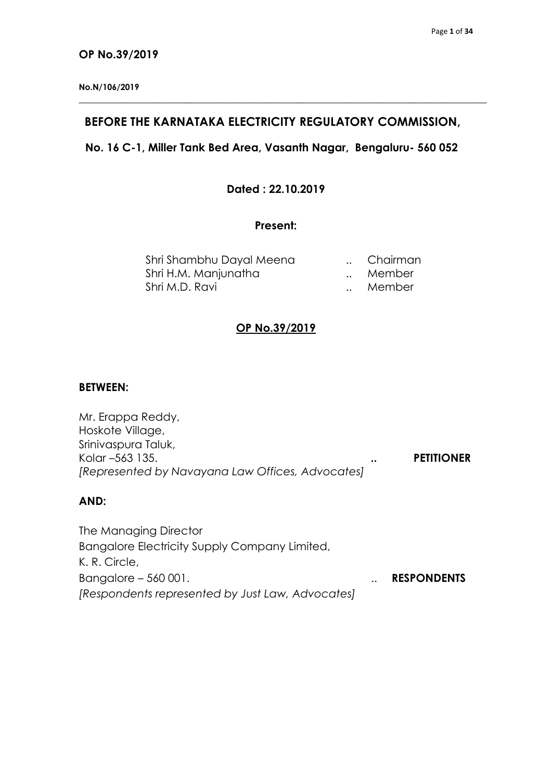#### **OP No.39/2019**

**No.N/106/2019**

## **BEFORE THE KARNATAKA ELECTRICITY REGULATORY COMMISSION,**

**\_\_\_\_\_\_\_\_\_\_\_\_\_\_\_\_\_\_\_\_\_\_\_\_\_\_\_\_\_\_\_\_\_\_\_\_\_\_\_\_\_\_\_\_\_\_\_\_\_\_\_\_\_\_\_\_\_\_\_\_\_\_\_\_\_\_\_\_\_\_\_\_\_\_\_\_\_\_\_\_**

# **No. 16 C-1, Miller Tank Bed Area, Vasanth Nagar, Bengaluru- 560 052**

## **Dated : 22.10.2019**

## **Present:**

| Shri Shambhu Dayal Meena | Chairman |
|--------------------------|----------|
| Shri H.M. Manjunatha     | Member   |
| Shri M.D. Ravi           | Member   |

# **OP No.39/2019**

#### **BETWEEN:**

| Mr. Erappa Reddy,                                |           |                   |
|--------------------------------------------------|-----------|-------------------|
| Hoskote Village,                                 |           |                   |
| Srinivaspura Taluk,                              |           |                   |
| Kolar –563 135.                                  | $\bullet$ | <b>PETITIONER</b> |
| [Represented by Navayana Law Offices, Advocates] |           |                   |

## **AND:**

The Managing Director Bangalore Electricity Supply Company Limited, K. R. Circle, Bangalore – 560 001. **In the set of the Second Law American Contract Contract Contract Contract Contract Contract Contract Contract Contract Contract Contract Contract Contract Contract Contract Contract Contract Contract** *[Respondents represented by Just Law, Advocates]*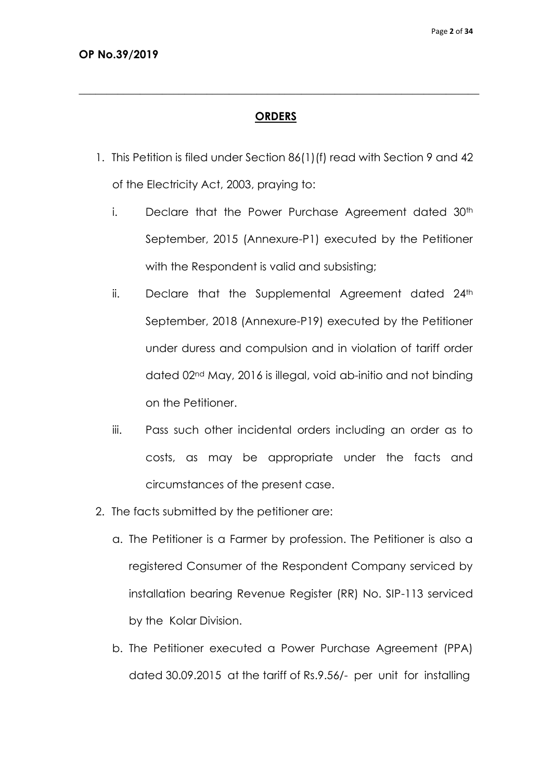# **ORDERS**

**\_\_\_\_\_\_\_\_\_\_\_\_\_\_\_\_\_\_\_\_\_\_\_\_\_\_\_\_\_\_\_\_\_\_\_\_\_\_\_\_\_\_\_\_\_\_\_\_\_\_\_\_\_\_\_\_\_\_\_\_\_\_\_\_\_\_\_\_\_\_\_\_**

- 1. This Petition is filed under Section 86(1)(f) read with Section 9 and 42 of the Electricity Act, 2003, praying to:
	- i. Declare that the Power Purchase Agreement dated 30<sup>th</sup> September, 2015 (Annexure-P1) executed by the Petitioner with the Respondent is valid and subsisting;
	- ii. Declare that the Supplemental Agreement dated  $24<sup>th</sup>$ September, 2018 (Annexure-P19) executed by the Petitioner under duress and compulsion and in violation of tariff order dated 02nd May, 2016 is illegal, void ab-initio and not binding on the Petitioner.
	- iii. Pass such other incidental orders including an order as to costs, as may be appropriate under the facts and circumstances of the present case.
- 2. The facts submitted by the petitioner are:
	- a. The Petitioner is a Farmer by profession. The Petitioner is also a registered Consumer of the Respondent Company serviced by installation bearing Revenue Register (RR) No. SIP-113 serviced by the Kolar Division.
	- b. The Petitioner executed a Power Purchase Agreement (PPA) dated 30.09.2015 at the tariff of Rs.9.56/- per unit for installing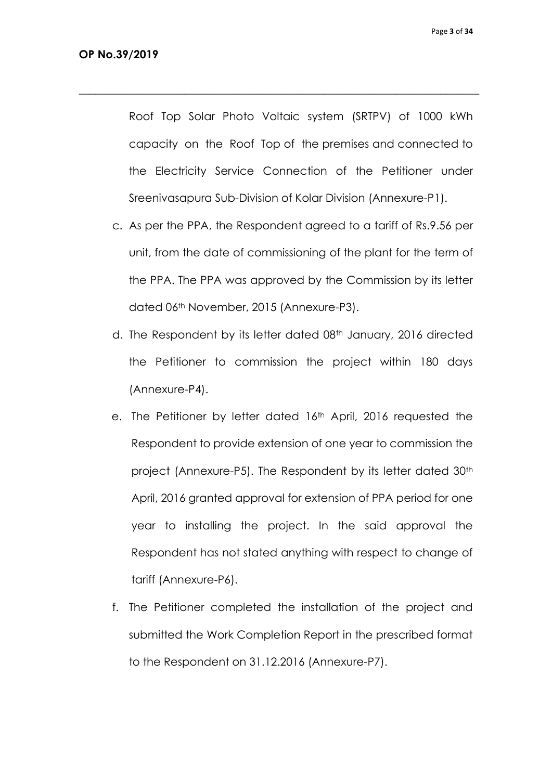Roof Top Solar Photo Voltaic system (SRTPV) of 1000 kWh capacity on the Roof Top of the premises and connected to the Electricity Service Connection of the Petitioner under Sreenivasapura Sub-Division of Kolar Division (Annexure-P1).

- c. As per the PPA, the Respondent agreed to a tariff of Rs.9.56 per unit, from the date of commissioning of the plant for the term of the PPA. The PPA was approved by the Commission by its letter dated 06th November, 2015 (Annexure-P3).
- d. The Respondent by its letter dated 08<sup>th</sup> January, 2016 directed the Petitioner to commission the project within 180 days (Annexure-P4).
- e. The Petitioner by letter dated 16<sup>th</sup> April, 2016 requested the Respondent to provide extension of one year to commission the project (Annexure-P5). The Respondent by its letter dated 30th April, 2016 granted approval for extension of PPA period for one year to installing the project. In the said approval the Respondent has not stated anything with respect to change of tariff (Annexure-P6).
- f. The Petitioner completed the installation of the project and submitted the Work Completion Report in the prescribed format to the Respondent on 31.12.2016 (Annexure-P7).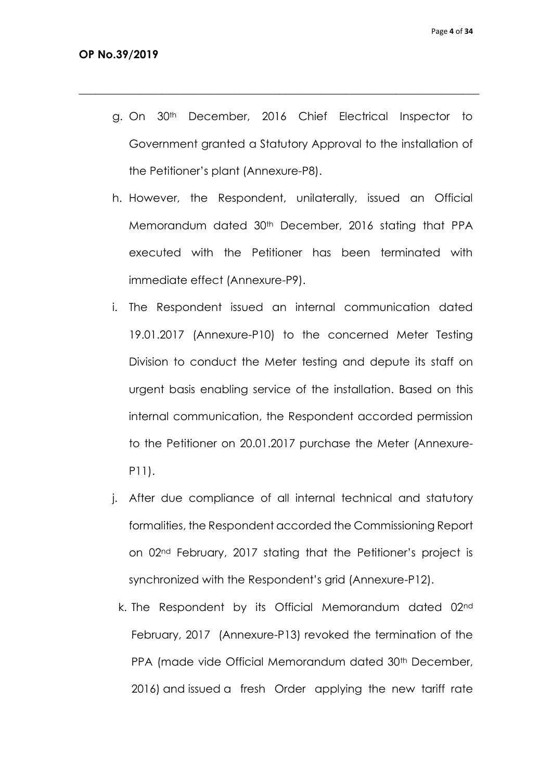g. On 30th December, 2016 Chief Electrical Inspector to Government granted a Statutory Approval to the installation of the Petitioner's plant (Annexure-P8).

- h. However, the Respondent, unilaterally, issued an Official Memorandum dated 30<sup>th</sup> December, 2016 stating that PPA executed with the Petitioner has been terminated with immediate effect (Annexure-P9).
- i. The Respondent issued an internal communication dated 19.01.2017 (Annexure-P10) to the concerned Meter Testing Division to conduct the Meter testing and depute its staff on urgent basis enabling service of the installation. Based on this internal communication, the Respondent accorded permission to the Petitioner on 20.01.2017 purchase the Meter (Annexure-P11).
- j. After due compliance of all internal technical and statutory formalities, the Respondent accorded the Commissioning Report on 02nd February, 2017 stating that the Petitioner's project is synchronized with the Respondent's grid (Annexure-P12).
	- k. The Respondent by its Official Memorandum dated 02nd February, 2017 (Annexure-P13) revoked the termination of the PPA (made vide Official Memorandum dated 30<sup>th</sup> December, 2016) and issued a fresh Order applying the new tariff rate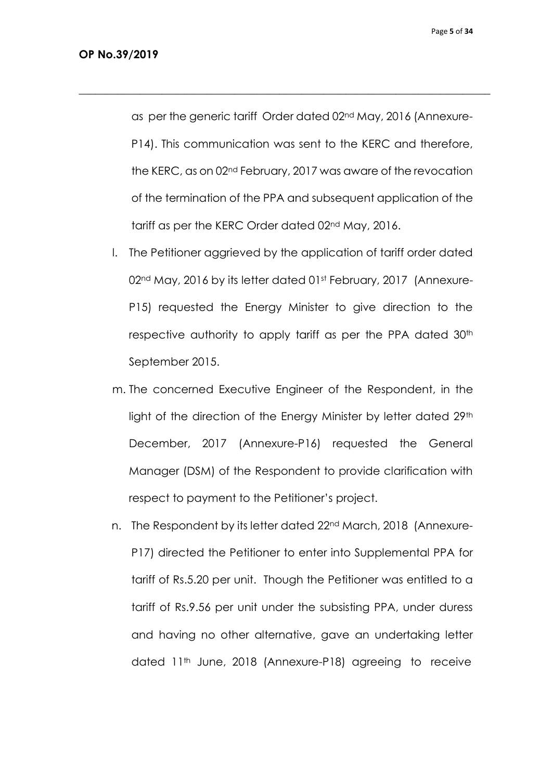as per the generic tariff Order dated 02nd May, 2016 (Annexure-P14). This communication was sent to the KERC and therefore, the KERC, as on 02nd February, 2017 was aware of the revocation of the termination of the PPA and subsequent application of the tariff as per the KERC Order dated 02nd May, 2016.

- l. The Petitioner aggrieved by the application of tariff order dated 02<sup>nd</sup> May, 2016 by its letter dated 01st February, 2017 (Annexure-P15) requested the Energy Minister to give direction to the respective authority to apply tariff as per the PPA dated 30<sup>th</sup> September 2015.
- m. The concerned Executive Engineer of the Respondent, in the light of the direction of the Energy Minister by letter dated 29<sup>th</sup> December, 2017 (Annexure-P16) requested the General Manager (DSM) of the Respondent to provide clarification with respect to payment to the Petitioner's project.
- n. The Respondent by its letter dated 22nd March, 2018 (Annexure-P17) directed the Petitioner to enter into Supplemental PPA for tariff of Rs.5.20 per unit. Though the Petitioner was entitled to a tariff of Rs.9.56 per unit under the subsisting PPA, under duress and having no other alternative, gave an undertaking letter dated 11<sup>th</sup> June, 2018 (Annexure-P18) agreeing to receive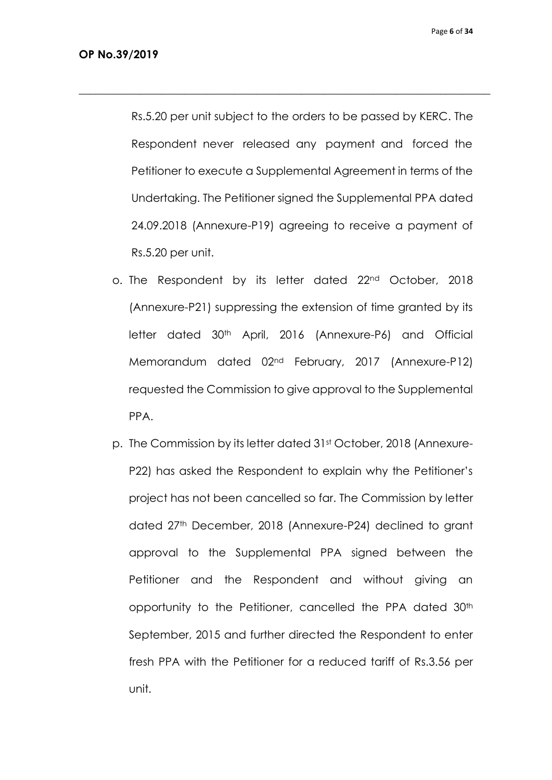Rs.5.20 per unit subject to the orders to be passed by KERC. The Respondent never released any payment and forced the Petitioner to execute a Supplemental Agreement in terms of the Undertaking. The Petitioner signed the Supplemental PPA dated 24.09.2018 (Annexure-P19) agreeing to receive a payment of Rs.5.20 per unit.

- o. The Respondent by its letter dated 22nd October, 2018 (Annexure-P21) suppressing the extension of time granted by its letter dated 30<sup>th</sup> April, 2016 (Annexure-P6) and Official Memorandum dated 02nd February, 2017 (Annexure-P12) requested the Commission to give approval to the Supplemental PPA.
- p. The Commission by its letter dated 31st October, 2018 (Annexure-P22) has asked the Respondent to explain why the Petitioner's project has not been cancelled so far. The Commission by letter dated 27th December, 2018 (Annexure-P24) declined to grant approval to the Supplemental PPA signed between the Petitioner and the Respondent and without giving an opportunity to the Petitioner, cancelled the PPA dated 30<sup>th</sup> September, 2015 and further directed the Respondent to enter fresh PPA with the Petitioner for a reduced tariff of Rs.3.56 per unit.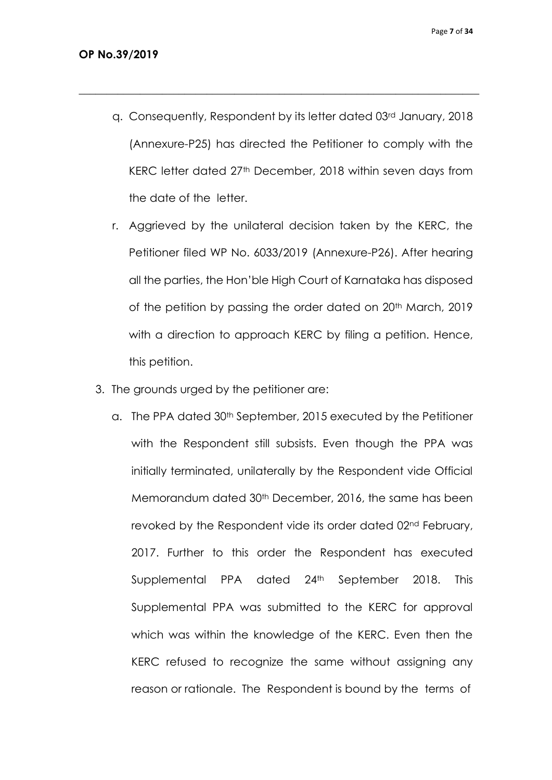q. Consequently, Respondent by its letter dated 03rd January, 2018 (Annexure-P25) has directed the Petitioner to comply with the KERC letter dated 27<sup>th</sup> December, 2018 within seven days from the date of the letter.

- r. Aggrieved by the unilateral decision taken by the KERC, the Petitioner filed WP No. 6033/2019 (Annexure-P26). After hearing all the parties, the Hon'ble High Court of Karnataka has disposed of the petition by passing the order dated on 20<sup>th</sup> March, 2019 with a direction to approach KERC by filing a petition. Hence, this petition.
- 3. The grounds urged by the petitioner are:
	- a. The PPA dated 30<sup>th</sup> September, 2015 executed by the Petitioner with the Respondent still subsists. Even though the PPA was initially terminated, unilaterally by the Respondent vide Official Memorandum dated 30<sup>th</sup> December, 2016, the same has been revoked by the Respondent vide its order dated 02nd February, 2017. Further to this order the Respondent has executed Supplemental PPA dated 24<sup>th</sup> September 2018. This Supplemental PPA was submitted to the KERC for approval which was within the knowledge of the KERC. Even then the KERC refused to recognize the same without assigning any reason or rationale. The Respondent is bound by the terms of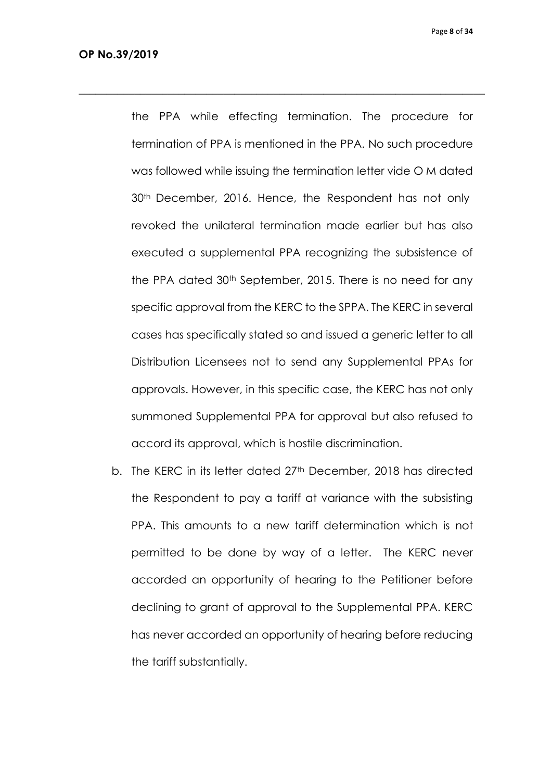the PPA while effecting termination. The procedure for termination of PPA is mentioned in the PPA. No such procedure was followed while issuing the termination letter vide O M dated 30th December, 2016. Hence, the Respondent has not only revoked the unilateral termination made earlier but has also executed a supplemental PPA recognizing the subsistence of the PPA dated 30th September, 2015. There is no need for any specific approval from the KERC to the SPPA. The KERC in several cases has specifically stated so and issued a generic letter to all Distribution Licensees not to send any Supplemental PPAs for approvals. However, in this specific case, the KERC has not only summoned Supplemental PPA for approval but also refused to accord its approval, which is hostile discrimination.

 $\_$  , and the set of the set of the set of the set of the set of the set of the set of the set of the set of the set of the set of the set of the set of the set of the set of the set of the set of the set of the set of th

b. The KERC in its letter dated 27<sup>th</sup> December, 2018 has directed the Respondent to pay a tariff at variance with the subsisting PPA. This amounts to a new tariff determination which is not permitted to be done by way of a letter. The KERC never accorded an opportunity of hearing to the Petitioner before declining to grant of approval to the Supplemental PPA. KERC has never accorded an opportunity of hearing before reducing the tariff substantially.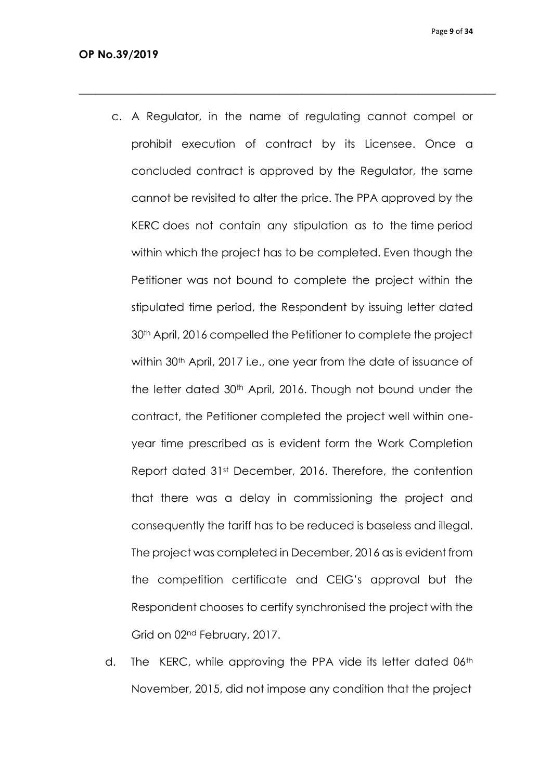c. A Regulator, in the name of regulating cannot compel or prohibit execution of contract by its Licensee. Once a concluded contract is approved by the Regulator, the same cannot be revisited to alter the price. The PPA approved by the KERC does not contain any stipulation as to the time period within which the project has to be completed. Even though the Petitioner was not bound to complete the project within the stipulated time period, the Respondent by issuing letter dated 30th April, 2016 compelled the Petitioner to complete the project within 30<sup>th</sup> April, 2017 i.e., one year from the date of issuance of the letter dated 30th April, 2016. Though not bound under the contract, the Petitioner completed the project well within oneyear time prescribed as is evident form the Work Completion Report dated 31st December, 2016. Therefore, the contention that there was a delay in commissioning the project and consequently the tariff has to be reduced is baseless and illegal. The project was completed in December, 2016 as is evident from the competition certificate and CEIG's approval but the Respondent chooses to certify synchronised the project with the Grid on 02nd February, 2017.

 $\_$  , and the set of the set of the set of the set of the set of the set of the set of the set of the set of the set of the set of the set of the set of the set of the set of the set of the set of the set of the set of th

d. The KERC, while approving the PPA vide its letter dated 06<sup>th</sup> November, 2015, did not impose any condition that the project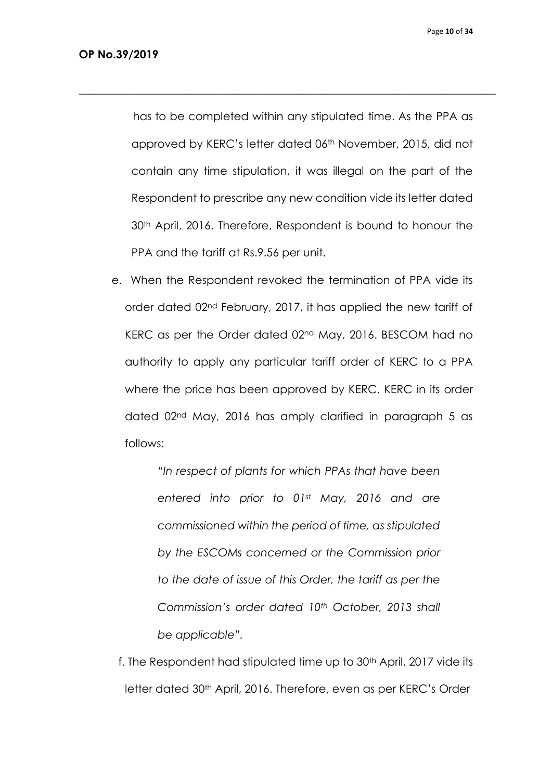has to be completed within any stipulated time. As the PPA as approved by KERC's letter dated 06<sup>th</sup> November, 2015, did not contain any time stipulation, it was illegal on the part of the Respondent to prescribe any new condition vide its letter dated 30th April, 2016. Therefore, Respondent is bound to honour the PPA and the tariff at Rs.9.56 per unit.

 $\_$  , and the set of the set of the set of the set of the set of the set of the set of the set of the set of the set of the set of the set of the set of the set of the set of the set of the set of the set of the set of th

e. When the Respondent revoked the termination of PPA vide its order dated 02nd February, 2017, it has applied the new tariff of KERC as per the Order dated 02nd May, 2016. BESCOM had no authority to apply any particular tariff order of KERC to a PPA where the price has been approved by KERC. KERC in its order dated 02nd May, 2016 has amply clarified in paragraph 5 as follows:

> *"In respect of plants for which PPAs that have been entered into prior to 01st May, 2016 and are commissioned within the period of time, as stipulated by the ESCOMs concerned or the Commission prior to the date of issue of this Order, the tariff as per the Commission's order dated 10th October, 2013 shall be applicable".*

f. The Respondent had stipulated time up to 30<sup>th</sup> April, 2017 vide its letter dated 30th April, 2016. Therefore, even as per KERC's Order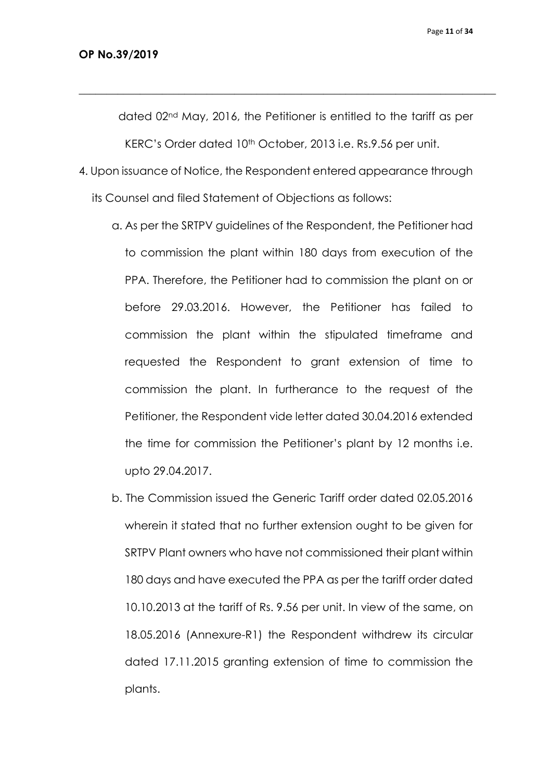dated 02nd May, 2016, the Petitioner is entitled to the tariff as per KERC's Order dated 10<sup>th</sup> October, 2013 i.e. Rs.9.56 per unit.

 $\_$  , and the set of the set of the set of the set of the set of the set of the set of the set of the set of the set of the set of the set of the set of the set of the set of the set of the set of the set of the set of th

- 4. Upon issuance of Notice, the Respondent entered appearance through its Counsel and filed Statement of Objections as follows:
	- a. As per the SRTPV guidelines of the Respondent, the Petitioner had to commission the plant within 180 days from execution of the PPA. Therefore, the Petitioner had to commission the plant on or before 29.03.2016. However, the Petitioner has failed to commission the plant within the stipulated timeframe and requested the Respondent to grant extension of time to commission the plant. In furtherance to the request of the Petitioner, the Respondent vide letter dated 30.04.2016 extended the time for commission the Petitioner's plant by 12 months i.e. upto 29.04.2017.
	- b. The Commission issued the Generic Tariff order dated 02.05.2016 wherein it stated that no further extension ought to be given for SRTPV Plant owners who have not commissioned their plant within 180 days and have executed the PPA as per the tariff order dated 10.10.2013 at the tariff of Rs. 9.56 per unit. In view of the same, on 18.05.2016 (Annexure-R1) the Respondent withdrew its circular dated 17.11.2015 granting extension of time to commission the plants.

Page **11** of **34**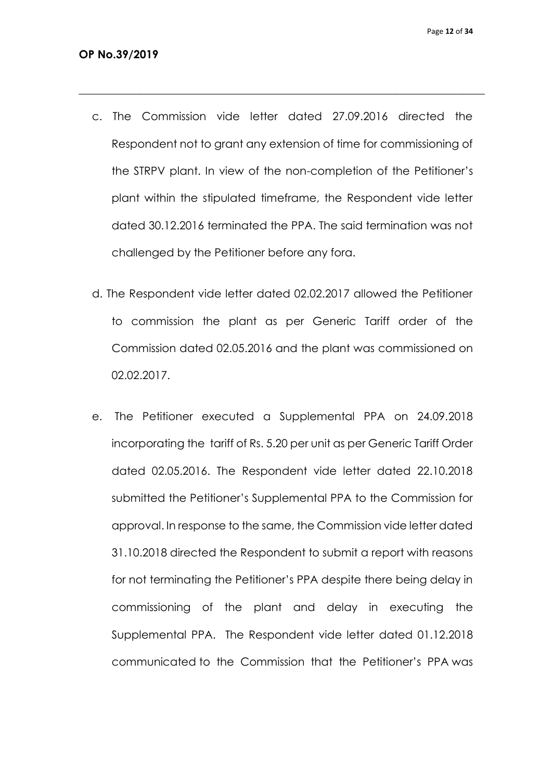c. The Commission vide letter dated 27.09.2016 directed the Respondent not to grant any extension of time for commissioning of the STRPV plant. In view of the non-completion of the Petitioner's plant within the stipulated timeframe, the Respondent vide letter dated 30.12.2016 terminated the PPA. The said termination was not challenged by the Petitioner before any fora.

- d. The Respondent vide letter dated 02.02.2017 allowed the Petitioner to commission the plant as per Generic Tariff order of the Commission dated 02.05.2016 and the plant was commissioned on 02.02.2017.
- e. The Petitioner executed a Supplemental PPA on 24.09.2018 incorporating the tariff of Rs. 5.20 per unit as per Generic Tariff Order dated 02.05.2016. The Respondent vide letter dated 22.10.2018 submitted the Petitioner's Supplemental PPA to the Commission for approval. In response to the same, the Commission vide letter dated 31.10.2018 directed the Respondent to submit a report with reasons for not terminating the Petitioner's PPA despite there being delay in commissioning of the plant and delay in executing the Supplemental PPA. The Respondent vide letter dated 01.12.2018 communicated to the Commission that the Petitioner's PPA was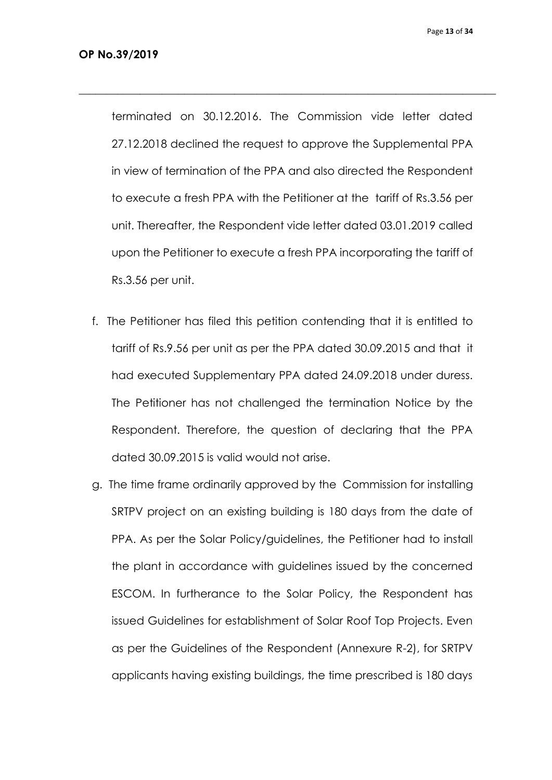terminated on 30.12.2016. The Commission vide letter dated 27.12.2018 declined the request to approve the Supplemental PPA in view of termination of the PPA and also directed the Respondent to execute a fresh PPA with the Petitioner at the tariff of Rs.3.56 per unit. Thereafter, the Respondent vide letter dated 03.01.2019 called upon the Petitioner to execute a fresh PPA incorporating the tariff of Rs.3.56 per unit.

- f. The Petitioner has filed this petition contending that it is entitled to tariff of Rs.9.56 per unit as per the PPA dated 30.09.2015 and that it had executed Supplementary PPA dated 24.09.2018 under duress. The Petitioner has not challenged the termination Notice by the Respondent. Therefore, the question of declaring that the PPA dated 30.09.2015 is valid would not arise.
- g. The time frame ordinarily approved by the Commission for installing SRTPV project on an existing building is 180 days from the date of PPA. As per the Solar Policy/guidelines, the Petitioner had to install the plant in accordance with guidelines issued by the concerned ESCOM. In furtherance to the Solar Policy, the Respondent has issued Guidelines for establishment of Solar Roof Top Projects. Even as per the Guidelines of the Respondent (Annexure R-2), for SRTPV applicants having existing buildings, the time prescribed is 180 days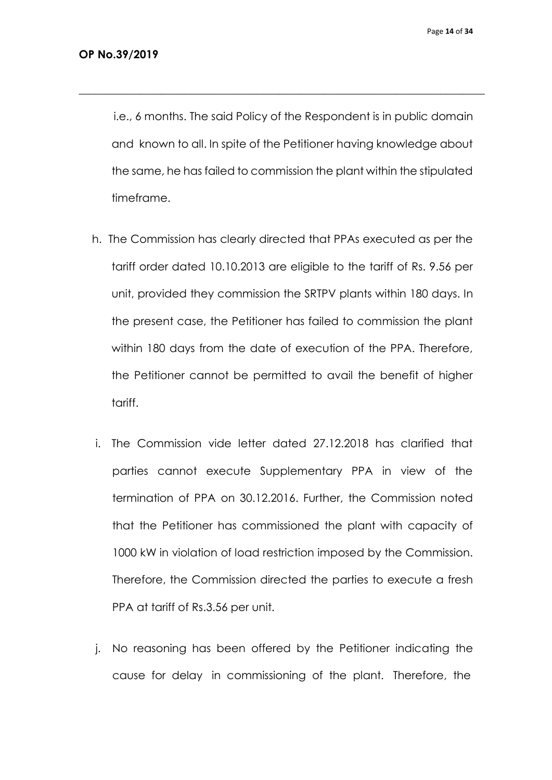i.e., 6 months. The said Policy of the Respondent is in public domain and known to all. In spite of the Petitioner having knowledge about the same, he has failed to commission the plant within the stipulated timeframe.

- h. The Commission has clearly directed that PPAs executed as per the tariff order dated 10.10.2013 are eligible to the tariff of Rs. 9.56 per unit, provided they commission the SRTPV plants within 180 days. In the present case, the Petitioner has failed to commission the plant within 180 days from the date of execution of the PPA. Therefore, the Petitioner cannot be permitted to avail the benefit of higher tariff.
- i. The Commission vide letter dated 27.12.2018 has clarified that parties cannot execute Supplementary PPA in view of the termination of PPA on 30.12.2016. Further, the Commission noted that the Petitioner has commissioned the plant with capacity of 1000 kW in violation of load restriction imposed by the Commission. Therefore, the Commission directed the parties to execute a fresh PPA at tariff of Rs.3.56 per unit.
- j. No reasoning has been offered by the Petitioner indicating the cause for delay in commissioning of the plant. Therefore, the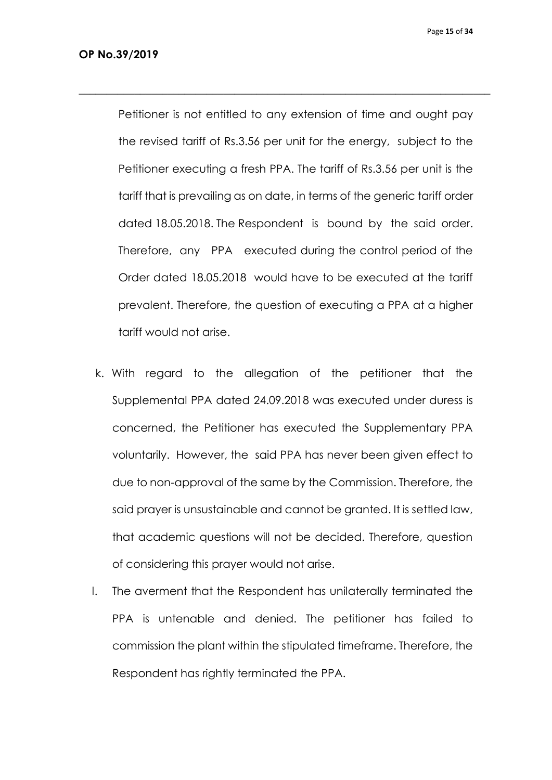Petitioner is not entitled to any extension of time and ought pay the revised tariff of Rs.3.56 per unit for the energy, subject to the Petitioner executing a fresh PPA. The tariff of Rs.3.56 per unit is the tariff that is prevailing as on date, in terms of the generic tariff order dated 18.05.2018. The Respondent is bound by the said order. Therefore, any PPA executed during the control period of the Order dated 18.05.2018 would have to be executed at the tariff prevalent. Therefore, the question of executing a PPA at a higher tariff would not arise.

- k. With regard to the allegation of the petitioner that the Supplemental PPA dated 24.09.2018 was executed under duress is concerned, the Petitioner has executed the Supplementary PPA voluntarily. However, the said PPA has never been given effect to due to non-approval of the same by the Commission. Therefore, the said prayer is unsustainable and cannot be granted. It is settled law, that academic questions will not be decided. Therefore, question of considering this prayer would not arise.
- l. The averment that the Respondent has unilaterally terminated the PPA is untenable and denied. The petitioner has failed to commission the plant within the stipulated timeframe. Therefore, the Respondent has rightly terminated the PPA.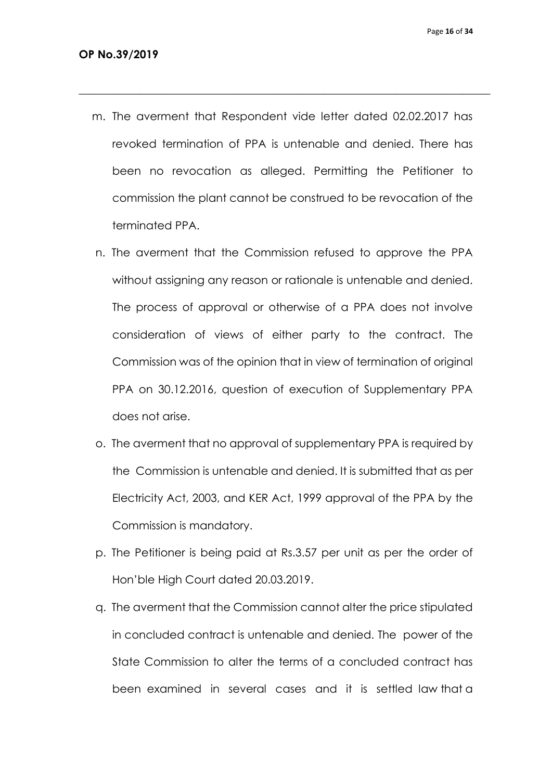m. The averment that Respondent vide letter dated 02.02.2017 has revoked termination of PPA is untenable and denied. There has been no revocation as alleged. Permitting the Petitioner to commission the plant cannot be construed to be revocation of the terminated PPA.

- n. The averment that the Commission refused to approve the PPA without assigning any reason or rationale is untenable and denied. The process of approval or otherwise of a PPA does not involve consideration of views of either party to the contract. The Commission was of the opinion that in view of termination of original PPA on 30.12.2016, question of execution of Supplementary PPA does not arise.
- o. The averment that no approval of supplementary PPA is required by the Commission is untenable and denied. It is submitted that as per Electricity Act, 2003, and KER Act, 1999 approval of the PPA by the Commission is mandatory.
- p. The Petitioner is being paid at Rs.3.57 per unit as per the order of Hon'ble High Court dated 20.03.2019.
- q. The averment that the Commission cannot alter the price stipulated in concluded contract is untenable and denied. The power of the State Commission to alter the terms of a concluded contract has been examined in several cases and it is settled law that a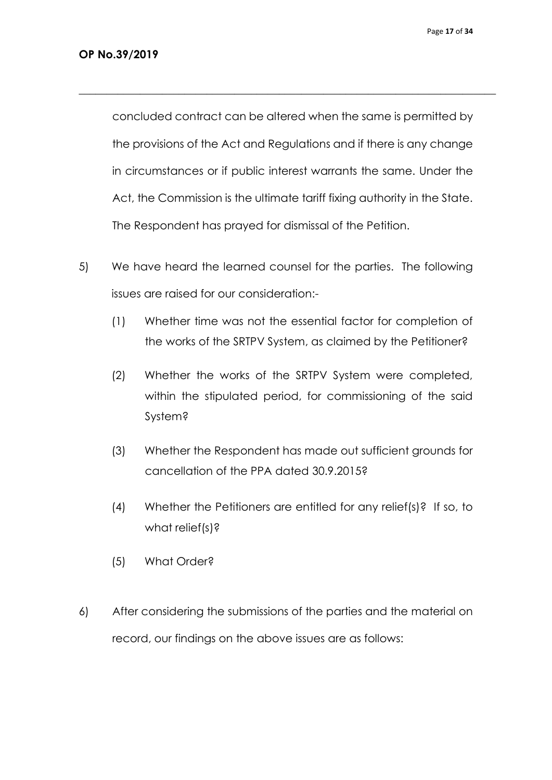concluded contract can be altered when the same is permitted by the provisions of the Act and Regulations and if there is any change in circumstances or if public interest warrants the same. Under the Act, the Commission is the ultimate tariff fixing authority in the State. The Respondent has prayed for dismissal of the Petition.

- 5) We have heard the learned counsel for the parties. The following issues are raised for our consideration:-
	- (1) Whether time was not the essential factor for completion of the works of the SRTPV System, as claimed by the Petitioner?
	- (2) Whether the works of the SRTPV System were completed, within the stipulated period, for commissioning of the said System?
	- (3) Whether the Respondent has made out sufficient grounds for cancellation of the PPA dated 30.9.2015?
	- (4) Whether the Petitioners are entitled for any relief(s)? If so, to what relief(s)?
	- (5) What Order?
- 6) After considering the submissions of the parties and the material on record, our findings on the above issues are as follows: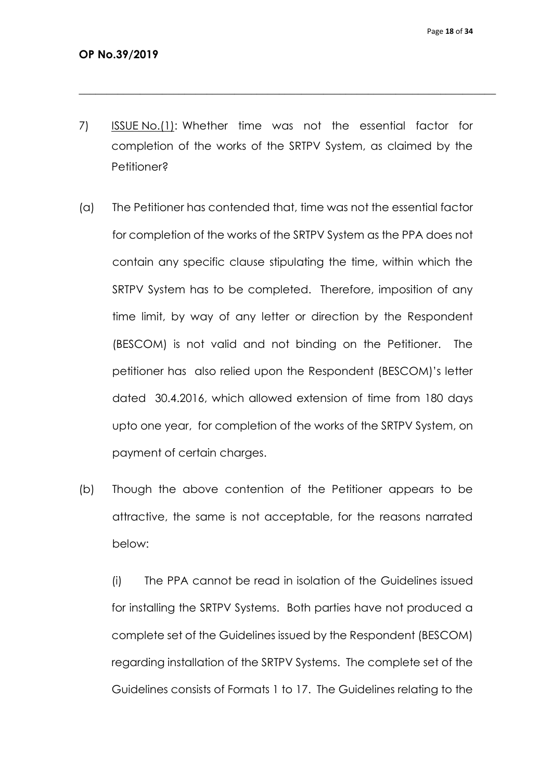7) ISSUE No.(1): Whether time was not the essential factor for completion of the works of the SRTPV System, as claimed by the Petitioner?

 $\_$  , and the set of the set of the set of the set of the set of the set of the set of the set of the set of the set of the set of the set of the set of the set of the set of the set of the set of the set of the set of th

- (a) The Petitioner has contended that, time was not the essential factor for completion of the works of the SRTPV System as the PPA does not contain any specific clause stipulating the time, within which the SRTPV System has to be completed. Therefore, imposition of any time limit, by way of any letter or direction by the Respondent (BESCOM) is not valid and not binding on the Petitioner. The petitioner has also relied upon the Respondent (BESCOM)'s letter dated 30.4.2016, which allowed extension of time from 180 days upto one year, for completion of the works of the SRTPV System, on payment of certain charges.
- (b) Though the above contention of the Petitioner appears to be attractive, the same is not acceptable, for the reasons narrated below:

(i) The PPA cannot be read in isolation of the Guidelines issued for installing the SRTPV Systems. Both parties have not produced a complete set of the Guidelines issued by the Respondent (BESCOM) regarding installation of the SRTPV Systems. The complete set of the Guidelines consists of Formats 1 to 17. The Guidelines relating to the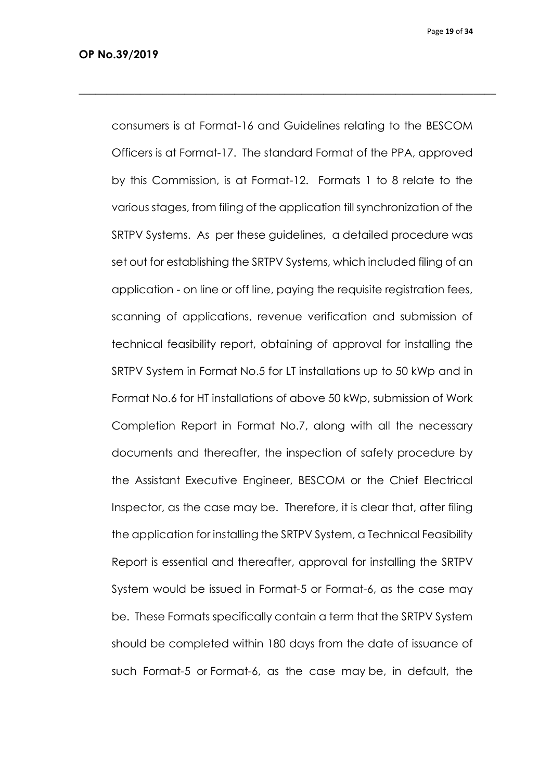Page **19** of **34**

consumers is at Format-16 and Guidelines relating to the BESCOM Officers is at Format-17. The standard Format of the PPA, approved by this Commission, is at Format-12. Formats 1 to 8 relate to the various stages, from filing of the application till synchronization of the SRTPV Systems. As per these guidelines, a detailed procedure was set out for establishing the SRTPV Systems, which included filing of an application - on line or off line, paying the requisite registration fees, scanning of applications, revenue verification and submission of technical feasibility report, obtaining of approval for installing the SRTPV System in Format No.5 for LT installations up to 50 kWp and in Format No.6 for HT installations of above 50 kWp, submission of Work Completion Report in Format No.7, along with all the necessary documents and thereafter, the inspection of safety procedure by the Assistant Executive Engineer, BESCOM or the Chief Electrical Inspector, as the case may be. Therefore, it is clear that, after filing the application for installing the SRTPV System, a Technical Feasibility Report is essential and thereafter, approval for installing the SRTPV System would be issued in Format-5 or Format-6, as the case may be. These Formats specifically contain a term that the SRTPV System should be completed within 180 days from the date of issuance of such Format-5 or Format-6, as the case may be, in default, the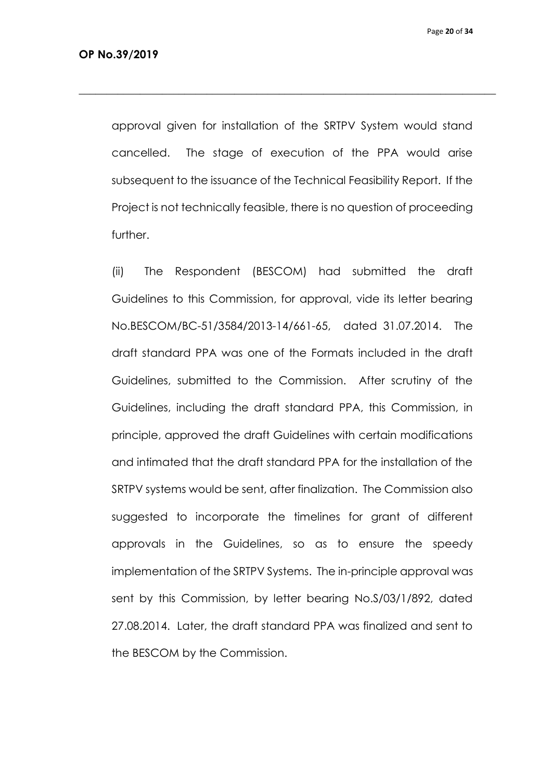approval given for installation of the SRTPV System would stand cancelled. The stage of execution of the PPA would arise subsequent to the issuance of the Technical Feasibility Report. If the Project is not technically feasible, there is no question of proceeding further.

 $\_$  , and the set of the set of the set of the set of the set of the set of the set of the set of the set of the set of the set of the set of the set of the set of the set of the set of the set of the set of the set of th

(ii) The Respondent (BESCOM) had submitted the draft Guidelines to this Commission, for approval, vide its letter bearing No.BESCOM/BC-51/3584/2013-14/661-65, dated 31.07.2014. The draft standard PPA was one of the Formats included in the draft Guidelines, submitted to the Commission. After scrutiny of the Guidelines, including the draft standard PPA, this Commission, in principle, approved the draft Guidelines with certain modifications and intimated that the draft standard PPA for the installation of the SRTPV systems would be sent, after finalization. The Commission also suggested to incorporate the timelines for grant of different approvals in the Guidelines, so as to ensure the speedy implementation of the SRTPV Systems. The in-principle approval was sent by this Commission, by letter bearing No.S/03/1/892, dated 27.08.2014. Later, the draft standard PPA was finalized and sent to the BESCOM by the Commission.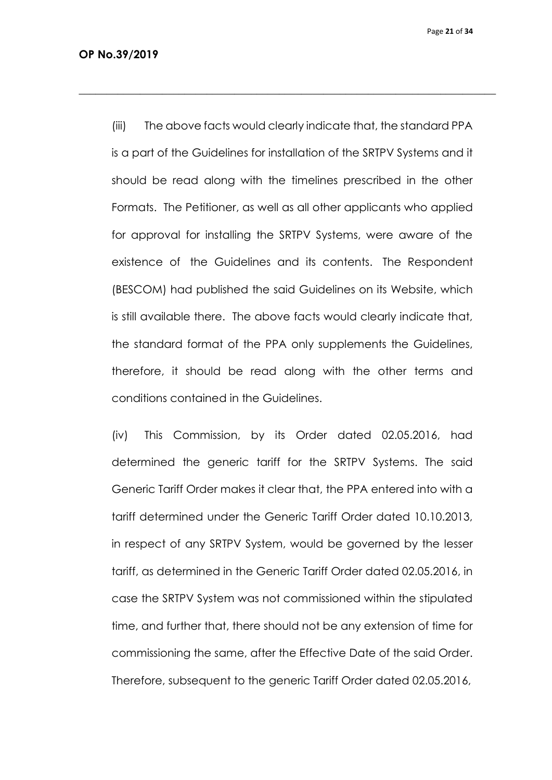Page **21** of **34**

(iii) The above facts would clearly indicate that, the standard PPA is a part of the Guidelines for installation of the SRTPV Systems and it should be read along with the timelines prescribed in the other Formats. The Petitioner, as well as all other applicants who applied for approval for installing the SRTPV Systems, were aware of the existence of the Guidelines and its contents. The Respondent (BESCOM) had published the said Guidelines on its Website, which is still available there. The above facts would clearly indicate that, the standard format of the PPA only supplements the Guidelines, therefore, it should be read along with the other terms and conditions contained in the Guidelines.

 $\_$  , and the set of the set of the set of the set of the set of the set of the set of the set of the set of the set of the set of the set of the set of the set of the set of the set of the set of the set of the set of th

(iv) This Commission, by its Order dated 02.05.2016, had determined the generic tariff for the SRTPV Systems. The said Generic Tariff Order makes it clear that, the PPA entered into with a tariff determined under the Generic Tariff Order dated 10.10.2013, in respect of any SRTPV System, would be governed by the lesser tariff, as determined in the Generic Tariff Order dated 02.05.2016, in case the SRTPV System was not commissioned within the stipulated time, and further that, there should not be any extension of time for commissioning the same, after the Effective Date of the said Order. Therefore, subsequent to the generic Tariff Order dated 02.05.2016,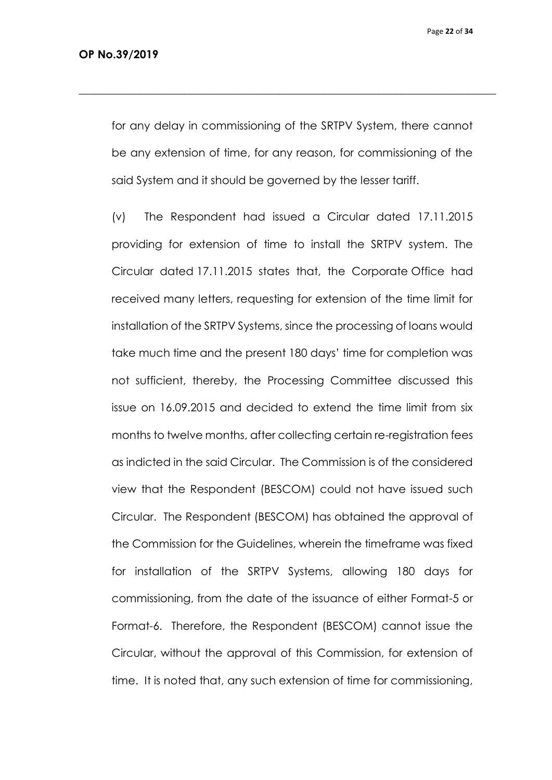Page **22** of **34**

for any delay in commissioning of the SRTPV System, there cannot be any extension of time, for any reason, for commissioning of the said System and it should be governed by the lesser tariff.

 $\_$  , and the set of the set of the set of the set of the set of the set of the set of the set of the set of the set of the set of the set of the set of the set of the set of the set of the set of the set of the set of th

(v) The Respondent had issued a Circular dated 17.11.2015 providing for extension of time to install the SRTPV system. The Circular dated 17.11.2015 states that, the Corporate Office had received many letters, requesting for extension of the time limit for installation of the SRTPV Systems, since the processing of loans would take much time and the present 180 days' time for completion was not sufficient, thereby, the Processing Committee discussed this issue on 16.09.2015 and decided to extend the time limit from six months to twelve months, after collecting certain re-registration fees as indicted in the said Circular. The Commission is of the considered view that the Respondent (BESCOM) could not have issued such Circular. The Respondent (BESCOM) has obtained the approval of the Commission for the Guidelines, wherein the timeframe was fixed for installation of the SRTPV Systems, allowing 180 days for commissioning, from the date of the issuance of either Format-5 or Format-6. Therefore, the Respondent (BESCOM) cannot issue the Circular, without the approval of this Commission, for extension of time. It is noted that, any such extension of time for commissioning,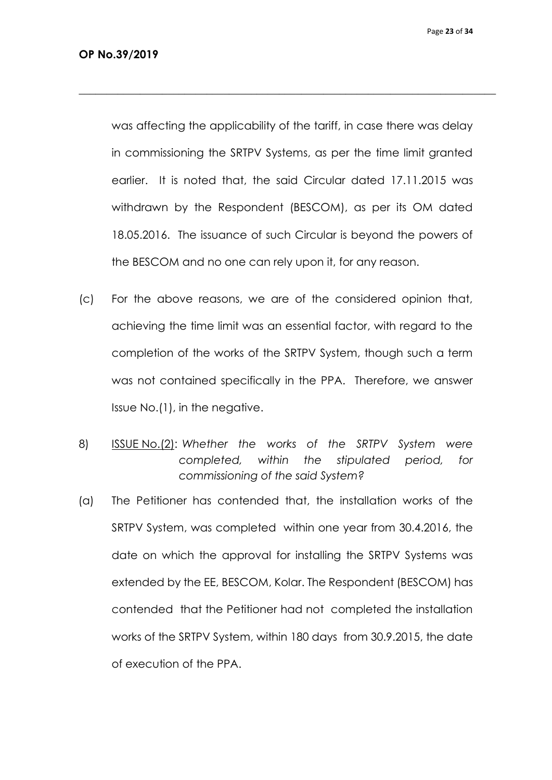was affecting the applicability of the tariff, in case there was delay in commissioning the SRTPV Systems, as per the time limit granted earlier. It is noted that, the said Circular dated 17.11.2015 was withdrawn by the Respondent (BESCOM), as per its OM dated 18.05.2016. The issuance of such Circular is beyond the powers of the BESCOM and no one can rely upon it, for any reason.

- (c) For the above reasons, we are of the considered opinion that, achieving the time limit was an essential factor, with regard to the completion of the works of the SRTPV System, though such a term was not contained specifically in the PPA. Therefore, we answer Issue No.(1), in the negative.
- 8) ISSUE No.(2): *Whether the works of the SRTPV System were completed, within the stipulated period, for commissioning of the said System?*
- (a) The Petitioner has contended that, the installation works of the SRTPV System, was completed within one year from 30.4.2016, the date on which the approval for installing the SRTPV Systems was extended by the EE, BESCOM, Kolar. The Respondent (BESCOM) has contended that the Petitioner had not completed the installation works of the SRTPV System, within 180 days from 30.9.2015, the date of execution of the PPA.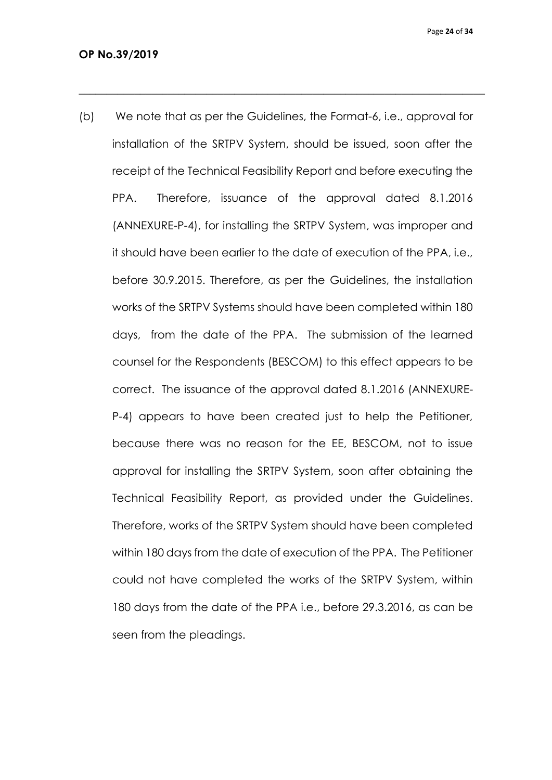Page **24** of **34**

(b) We note that as per the Guidelines, the Format-6, i.e., approval for installation of the SRTPV System, should be issued, soon after the receipt of the Technical Feasibility Report and before executing the PPA. Therefore, issuance of the approval dated 8.1.2016 (ANNEXURE-P-4), for installing the SRTPV System, was improper and it should have been earlier to the date of execution of the PPA, i.e., before 30.9.2015. Therefore, as per the Guidelines, the installation works of the SRTPV Systems should have been completed within 180 days, from the date of the PPA. The submission of the learned counsel for the Respondents (BESCOM) to this effect appears to be correct. The issuance of the approval dated 8.1.2016 (ANNEXURE-P-4) appears to have been created just to help the Petitioner, because there was no reason for the EE, BESCOM, not to issue approval for installing the SRTPV System, soon after obtaining the Technical Feasibility Report, as provided under the Guidelines. Therefore, works of the SRTPV System should have been completed within 180 days from the date of execution of the PPA. The Petitioner could not have completed the works of the SRTPV System, within 180 days from the date of the PPA i.e., before 29.3.2016, as can be seen from the pleadings.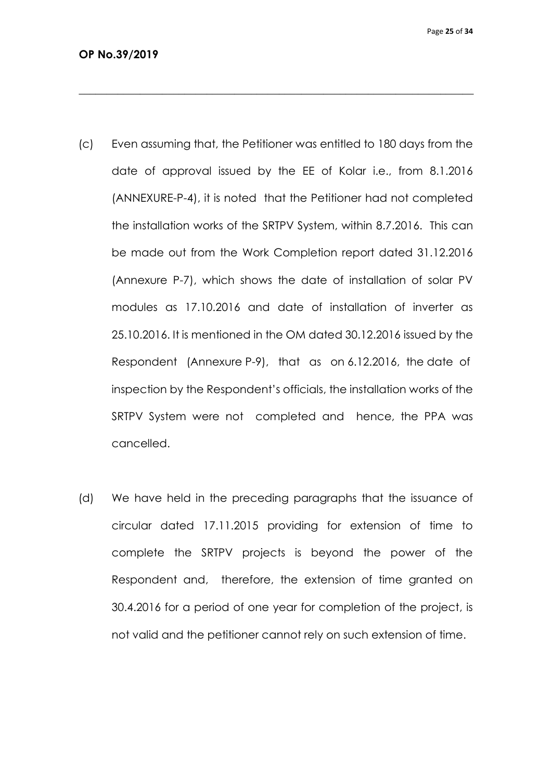(c) Even assuming that, the Petitioner was entitled to 180 days from the date of approval issued by the EE of Kolar i.e., from 8.1.2016 (ANNEXURE-P-4), it is noted that the Petitioner had not completed the installation works of the SRTPV System, within 8.7.2016. This can be made out from the Work Completion report dated 31.12.2016 (Annexure P-7), which shows the date of installation of solar PV modules as 17.10.2016 and date of installation of inverter as 25.10.2016. It is mentioned in the OM dated 30.12.2016 issued by the Respondent (Annexure P-9), that as on 6.12.2016, the date of inspection by the Respondent's officials, the installation works of the SRTPV System were not completed and hence, the PPA was cancelled.

 $\_$  , and the set of the set of the set of the set of the set of the set of the set of the set of the set of the set of the set of the set of the set of the set of the set of the set of the set of the set of the set of th

(d) We have held in the preceding paragraphs that the issuance of circular dated 17.11.2015 providing for extension of time to complete the SRTPV projects is beyond the power of the Respondent and, therefore, the extension of time granted on 30.4.2016 for a period of one year for completion of the project, is not valid and the petitioner cannot rely on such extension of time.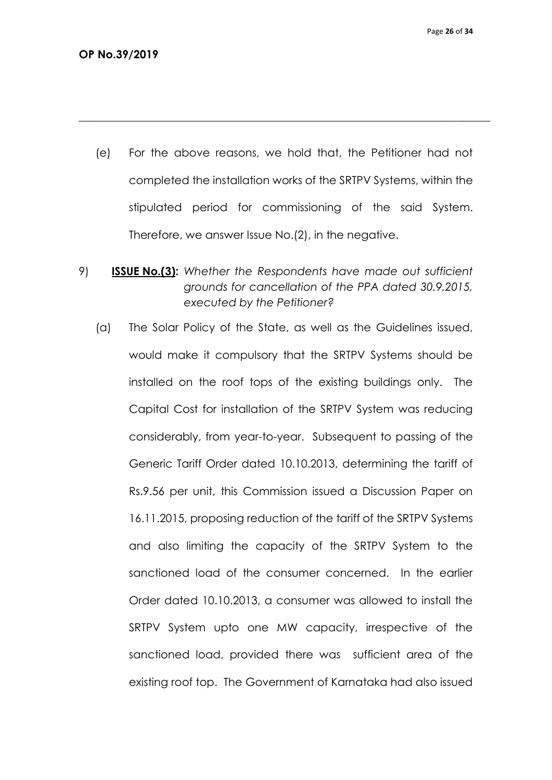(e) For the above reasons, we hold that, the Petitioner had not completed the installation works of the SRTPV Systems, within the stipulated period for commissioning of the said System. Therefore, we answer Issue No.(2), in the negative.

- 9) **ISSUE No.(3):** *Whether the Respondents have made out sufficient grounds for cancellation of the PPA dated 30.9.2015, executed by the Petitioner?*
	- (a) The Solar Policy of the State, as well as the Guidelines issued, would make it compulsory that the SRTPV Systems should be installed on the roof tops of the existing buildings only. The Capital Cost for installation of the SRTPV System was reducing considerably, from year-to-year. Subsequent to passing of the Generic Tariff Order dated 10.10.2013, determining the tariff of Rs.9.56 per unit, this Commission issued a Discussion Paper on 16.11.2015, proposing reduction of the tariff of the SRTPV Systems and also limiting the capacity of the SRTPV System to the sanctioned load of the consumer concerned. In the earlier Order dated 10.10.2013, a consumer was allowed to install the SRTPV System upto one MW capacity, irrespective of the sanctioned load, provided there was sufficient area of the existing roof top. The Government of Karnataka had also issued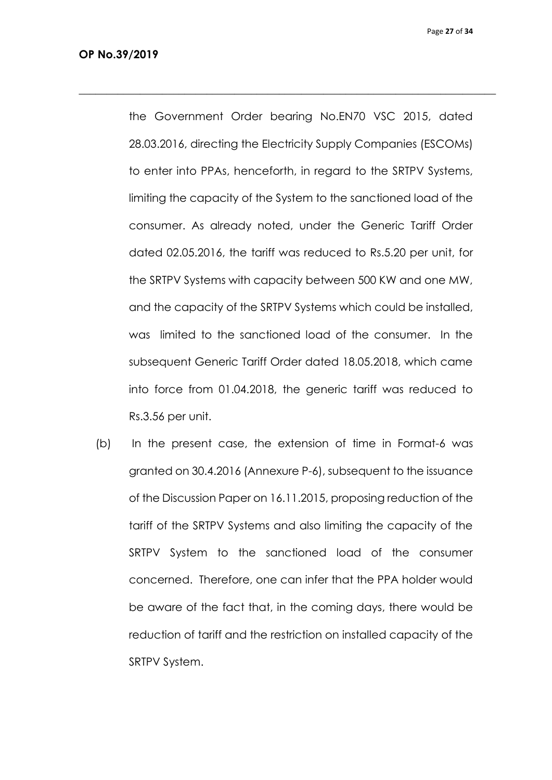the Government Order bearing No.EN70 VSC 2015, dated 28.03.2016, directing the Electricity Supply Companies (ESCOMs) to enter into PPAs, henceforth, in regard to the SRTPV Systems, limiting the capacity of the System to the sanctioned load of the consumer. As already noted, under the Generic Tariff Order dated 02.05.2016, the tariff was reduced to Rs.5.20 per unit, for the SRTPV Systems with capacity between 500 KW and one MW, and the capacity of the SRTPV Systems which could be installed, was limited to the sanctioned load of the consumer. In the subsequent Generic Tariff Order dated 18.05.2018, which came into force from 01.04.2018, the generic tariff was reduced to Rs.3.56 per unit.

 $\_$  , and the set of the set of the set of the set of the set of the set of the set of the set of the set of the set of the set of the set of the set of the set of the set of the set of the set of the set of the set of th

(b) In the present case, the extension of time in Format-6 was granted on 30.4.2016 (Annexure P-6), subsequent to the issuance of the Discussion Paper on 16.11.2015, proposing reduction of the tariff of the SRTPV Systems and also limiting the capacity of the SRTPV System to the sanctioned load of the consumer concerned. Therefore, one can infer that the PPA holder would be aware of the fact that, in the coming days, there would be reduction of tariff and the restriction on installed capacity of the SRTPV System.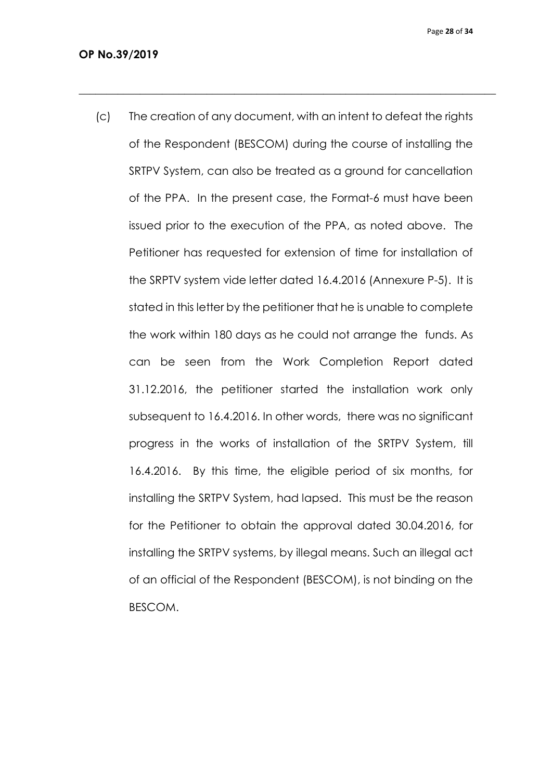Page **28** of **34**

(c) The creation of any document, with an intent to defeat the rights of the Respondent (BESCOM) during the course of installing the SRTPV System, can also be treated as a ground for cancellation of the PPA. In the present case, the Format-6 must have been issued prior to the execution of the PPA, as noted above. The Petitioner has requested for extension of time for installation of the SRPTV system vide letter dated 16.4.2016 (Annexure P-5). It is stated in this letter by the petitioner that he is unable to complete the work within 180 days as he could not arrange the funds. As can be seen from the Work Completion Report dated 31.12.2016, the petitioner started the installation work only subsequent to 16.4.2016. In other words, there was no significant progress in the works of installation of the SRTPV System, till 16.4.2016. By this time, the eligible period of six months, for installing the SRTPV System, had lapsed. This must be the reason for the Petitioner to obtain the approval dated 30.04.2016, for installing the SRTPV systems, by illegal means. Such an illegal act of an official of the Respondent (BESCOM), is not binding on the BESCOM.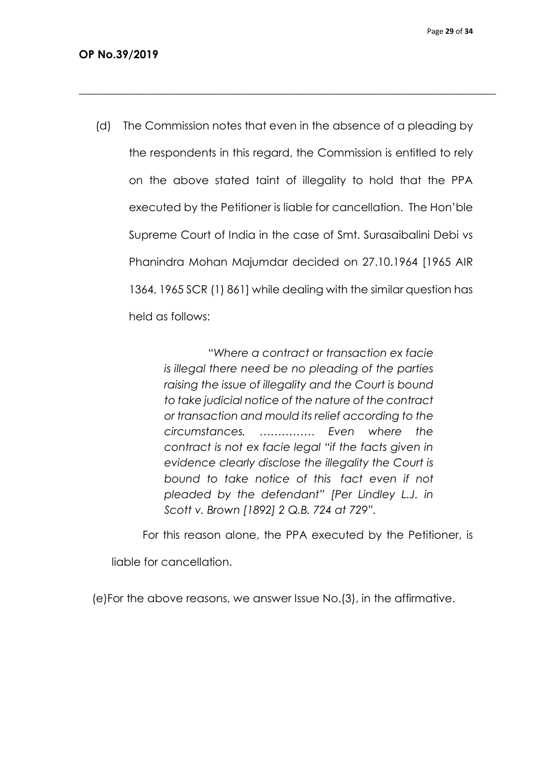(d) The Commission notes that even in the absence of a pleading by the respondents in this regard, the Commission is entitled to rely on the above stated taint of illegality to hold that the PPA executed by the Petitioner is liable for cancellation. The Hon'ble Supreme Court of India in the case of Smt. Surasaibalini Debi vs Phanindra Mohan Majumdar decided on 27.10.1964 [1965 AIR

 $\_$  , and the set of the set of the set of the set of the set of the set of the set of the set of the set of the set of the set of the set of the set of the set of the set of the set of the set of the set of the set of th

1364, 1965 SCR (1) 861] while dealing with the similar question has held as follows:

> "*Where a contract or transaction ex facie is illegal there need be no pleading of the parties raising the issue of illegality and the Court is bound to take judicial notice of the nature of the contract or transaction and mould its relief according to the circumstances. …………… Even where the contract is not ex facie legal "if the facts given in evidence clearly disclose the illegality the Court is bound to take notice of this fact even if not pleaded by the defendant" [Per Lindley L.J. in Scott v. Brown [1892] 2 Q.B. 724 at 729".*

For this reason alone, the PPA executed by the Petitioner, is

liable for cancellation.

(e)For the above reasons, we answer Issue No.(3), in the affirmative.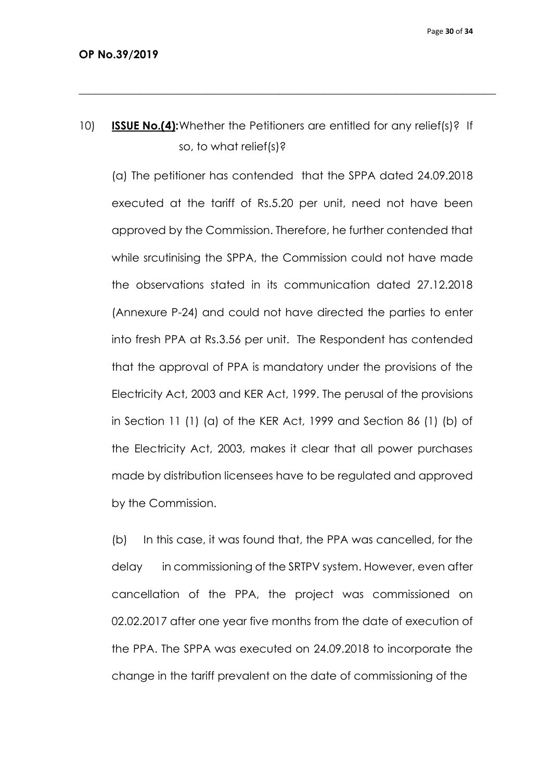10) **ISSUE No.(4):**Whether the Petitioners are entitled for any relief(s)? If so, to what relief(s)?

 $\_$  , and the set of the set of the set of the set of the set of the set of the set of the set of the set of the set of the set of the set of the set of the set of the set of the set of the set of the set of the set of th

(a) The petitioner has contended that the SPPA dated 24.09.2018 executed at the tariff of Rs.5.20 per unit, need not have been approved by the Commission. Therefore, he further contended that while srcutinising the SPPA, the Commission could not have made the observations stated in its communication dated 27.12.2018 (Annexure P-24) and could not have directed the parties to enter into fresh PPA at Rs.3.56 per unit. The Respondent has contended that the approval of PPA is mandatory under the provisions of the Electricity Act, 2003 and KER Act, 1999. The perusal of the provisions in Section 11 (1) (a) of the KER Act, 1999 and Section 86 (1) (b) of the Electricity Act, 2003, makes it clear that all power purchases made by distribution licensees have to be regulated and approved by the Commission.

(b) In this case, it was found that, the PPA was cancelled, for the delay in commissioning of the SRTPV system. However, even after cancellation of the PPA, the project was commissioned on 02.02.2017 after one year five months from the date of execution of the PPA. The SPPA was executed on 24.09.2018 to incorporate the change in the tariff prevalent on the date of commissioning of the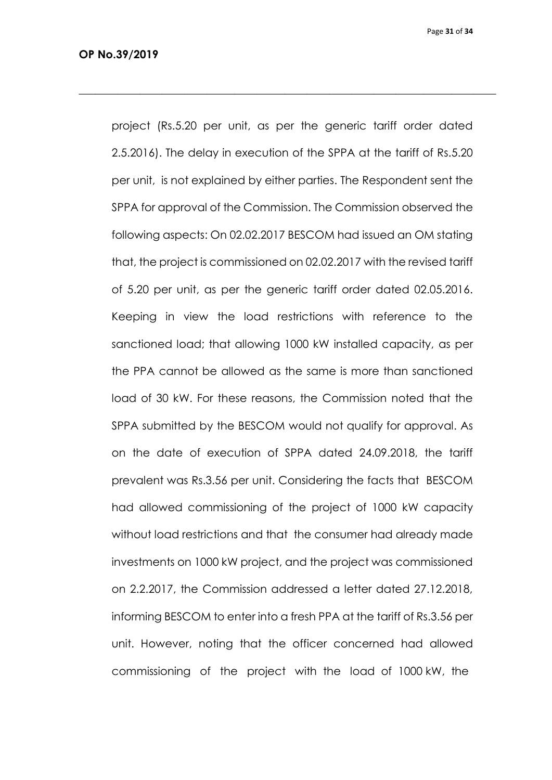Page **31** of **34**

project (Rs.5.20 per unit, as per the generic tariff order dated 2.5.2016). The delay in execution of the SPPA at the tariff of Rs.5.20 per unit, is not explained by either parties. The Respondent sent the SPPA for approval of the Commission. The Commission observed the following aspects: On 02.02.2017 BESCOM had issued an OM stating that, the project is commissioned on 02.02.2017 with the revised tariff of 5.20 per unit, as per the generic tariff order dated 02.05.2016. Keeping in view the load restrictions with reference to the sanctioned load; that allowing 1000 kW installed capacity, as per the PPA cannot be allowed as the same is more than sanctioned load of 30 kW. For these reasons, the Commission noted that the SPPA submitted by the BESCOM would not qualify for approval. As on the date of execution of SPPA dated 24.09.2018, the tariff prevalent was Rs.3.56 per unit. Considering the facts that BESCOM had allowed commissioning of the project of 1000 kW capacity without load restrictions and that the consumer had already made investments on 1000 kW project, and the project was commissioned on 2.2.2017, the Commission addressed a letter dated 27.12.2018, informing BESCOM to enter into a fresh PPA at the tariff of Rs.3.56 per unit. However, noting that the officer concerned had allowed commissioning of the project with the load of 1000 kW, the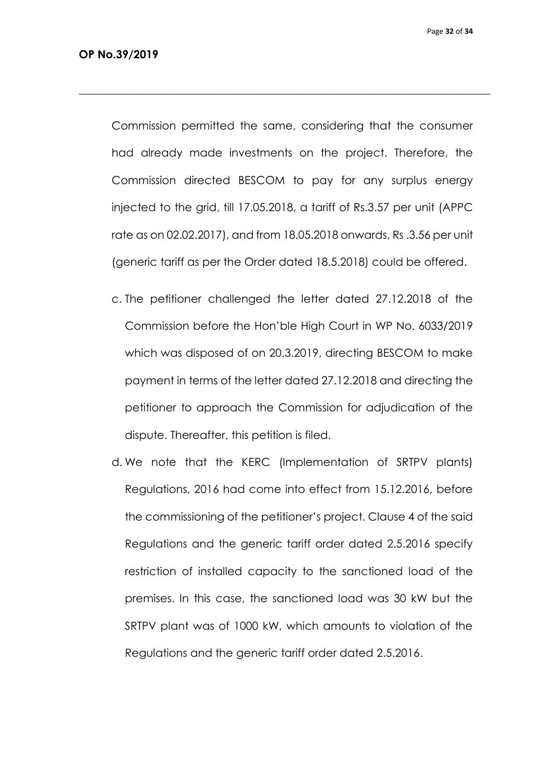Commission permitted the same, considering that the consumer had already made investments on the project. Therefore, the Commission directed BESCOM to pay for any surplus energy injected to the grid, till 17.05.2018, a tariff of Rs.3.57 per unit (APPC rate as on 02.02.2017), and from 18.05.2018 onwards, Rs .3.56 per unit (generic tariff as per the Order dated 18.5.2018) could be offered.

 $\_$  , and the set of the set of the set of the set of the set of the set of the set of the set of the set of the set of the set of the set of the set of the set of the set of the set of the set of the set of the set of th

- c. The petitioner challenged the letter dated 27.12.2018 of the Commission before the Hon'ble High Court in WP No. 6033/2019 which was disposed of on 20.3.2019, directing BESCOM to make payment in terms of the letter dated 27.12.2018 and directing the petitioner to approach the Commission for adjudication of the dispute. Thereafter, this petition is filed.
- d. We note that the KERC (Implementation of SRTPV plants) Regulations, 2016 had come into effect from 15.12.2016, before the commissioning of the petitioner's project. Clause 4 of the said Regulations and the generic tariff order dated 2.5.2016 specify restriction of installed capacity to the sanctioned load of the premises. In this case, the sanctioned load was 30 kW but the SRTPV plant was of 1000 kW, which amounts to violation of the Regulations and the generic tariff order dated 2.5.2016.

Page **32** of **34**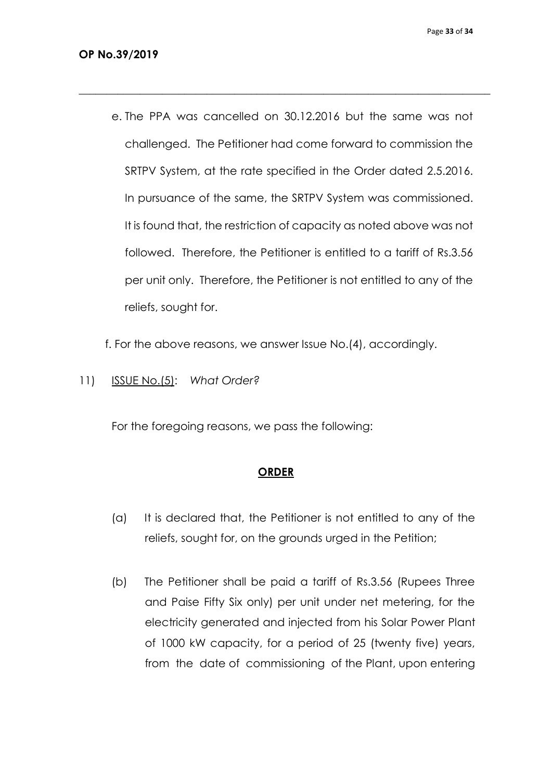e. The PPA was cancelled on 30.12.2016 but the same was not challenged. The Petitioner had come forward to commission the SRTPV System, at the rate specified in the Order dated 2.5.2016. In pursuance of the same, the SRTPV System was commissioned. It is found that, the restriction of capacity as noted above was not followed. Therefore, the Petitioner is entitled to a tariff of Rs.3.56 per unit only. Therefore, the Petitioner is not entitled to any of the reliefs, sought for.

 $\_$  , and the set of the set of the set of the set of the set of the set of the set of the set of the set of the set of the set of the set of the set of the set of the set of the set of the set of the set of the set of th

f. For the above reasons, we answer Issue No.(4), accordingly.

11) ISSUE No.(5):*What Order?*

For the foregoing reasons, we pass the following:

#### **ORDER**

- (a) It is declared that, the Petitioner is not entitled to any of the reliefs, sought for, on the grounds urged in the Petition;
- (b) The Petitioner shall be paid a tariff of Rs.3.56 (Rupees Three and Paise Fifty Six only) per unit under net metering, for the electricity generated and injected from his Solar Power Plant of 1000 kW capacity, for a period of 25 (twenty five) years, from the date of commissioning of the Plant, upon entering